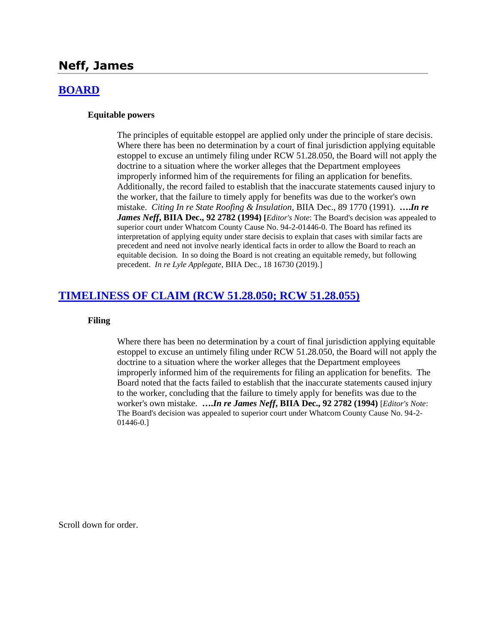# **Neff, James**

### **[BOARD](http://www.biia.wa.gov/SDSubjectIndex.html#BOARD)**

### **Equitable powers**

The principles of equitable estoppel are applied only under the principle of stare decisis. Where there has been no determination by a court of final jurisdiction applying equitable estoppel to excuse an untimely filing under RCW 51.28.050, the Board will not apply the doctrine to a situation where the worker alleges that the Department employees improperly informed him of the requirements for filing an application for benefits. Additionally, the record failed to establish that the inaccurate statements caused injury to the worker, that the failure to timely apply for benefits was due to the worker's own mistake. *Citing In re State Roofing & Insulation,* BIIA Dec., 89 1770 (1991). **….***In re James Neff***, BIIA Dec., 92 2782 (1994) [***Editor's Note*: The Board's decision was appealed to superior court under Whatcom County Cause No. 94-2-01446-0. The Board has refined its interpretation of applying equity under stare decisis to explain that cases with similar facts are precedent and need not involve nearly identical facts in order to allow the Board to reach an equitable decision. In so doing the Board is not creating an equitable remedy, but following precedent. *In re Lyle Applegate*, BIIA Dec., 18 16730 (2019).]

# **[TIMELINESS OF CLAIM \(RCW 51.28.050; RCW 51.28.055\)](http://www.biia.wa.gov/SDSubjectIndex.html#TIMELINESS_OF_CLAIM)**

### **Filing**

Where there has been no determination by a court of final jurisdiction applying equitable estoppel to excuse an untimely filing under RCW 51.28.050, the Board will not apply the doctrine to a situation where the worker alleges that the Department employees improperly informed him of the requirements for filing an application for benefits. The Board noted that the facts failed to establish that the inaccurate statements caused injury to the worker, concluding that the failure to timely apply for benefits was due to the worker's own mistake. **….***In re James Neff***, BIIA Dec., 92 2782 (1994)** [*Editor's Note*: The Board's decision was appealed to superior court under Whatcom County Cause No. 94-2- 01446-0.]

Scroll down for order.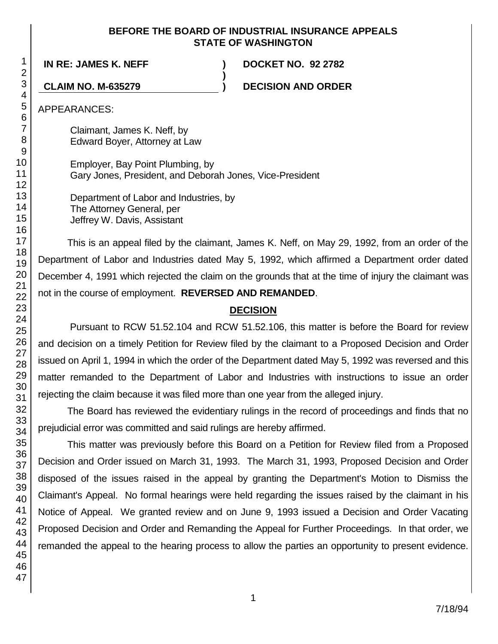## **BEFORE THE BOARD OF INDUSTRIAL INSURANCE APPEALS STATE OF WASHINGTON**

**)**

**IN RE: JAMES K. NEFF ) DOCKET NO. 92 2782**

**CLAIM NO. M-635279 ) DECISION AND ORDER**

APPEARANCES:

Claimant, James K. Neff, by Edward Boyer, Attorney at Law

Employer, Bay Point Plumbing, by Gary Jones, President, and Deborah Jones, Vice-President

Department of Labor and Industries, by The Attorney General, per Jeffrey W. Davis, Assistant

This is an appeal filed by the claimant, James K. Neff, on May 29, 1992, from an order of the Department of Labor and Industries dated May 5, 1992, which affirmed a Department order dated December 4, 1991 which rejected the claim on the grounds that at the time of injury the claimant was not in the course of employment. **REVERSED AND REMANDED**.

# **DECISION**

Pursuant to RCW 51.52.104 and RCW 51.52.106, this matter is before the Board for review and decision on a timely Petition for Review filed by the claimant to a Proposed Decision and Order issued on April 1, 1994 in which the order of the Department dated May 5, 1992 was reversed and this matter remanded to the Department of Labor and Industries with instructions to issue an order rejecting the claim because it was filed more than one year from the alleged injury.

The Board has reviewed the evidentiary rulings in the record of proceedings and finds that no prejudicial error was committed and said rulings are hereby affirmed.

This matter was previously before this Board on a Petition for Review filed from a Proposed Decision and Order issued on March 31, 1993. The March 31, 1993, Proposed Decision and Order disposed of the issues raised in the appeal by granting the Department's Motion to Dismiss the Claimant's Appeal. No formal hearings were held regarding the issues raised by the claimant in his Notice of Appeal. We granted review and on June 9, 1993 issued a Decision and Order Vacating Proposed Decision and Order and Remanding the Appeal for Further Proceedings. In that order, we remanded the appeal to the hearing process to allow the parties an opportunity to present evidence.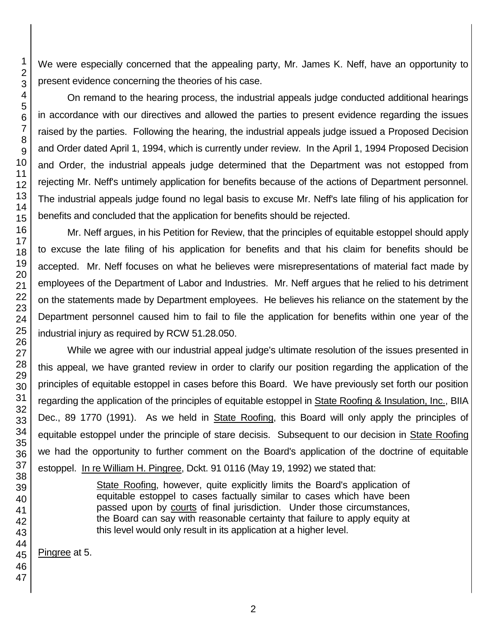We were especially concerned that the appealing party, Mr. James K. Neff, have an opportunity to present evidence concerning the theories of his case.

On remand to the hearing process, the industrial appeals judge conducted additional hearings in accordance with our directives and allowed the parties to present evidence regarding the issues raised by the parties. Following the hearing, the industrial appeals judge issued a Proposed Decision and Order dated April 1, 1994, which is currently under review. In the April 1, 1994 Proposed Decision and Order, the industrial appeals judge determined that the Department was not estopped from rejecting Mr. Neff's untimely application for benefits because of the actions of Department personnel. The industrial appeals judge found no legal basis to excuse Mr. Neff's late filing of his application for benefits and concluded that the application for benefits should be rejected.

Mr. Neff argues, in his Petition for Review, that the principles of equitable estoppel should apply to excuse the late filing of his application for benefits and that his claim for benefits should be accepted. Mr. Neff focuses on what he believes were misrepresentations of material fact made by employees of the Department of Labor and Industries. Mr. Neff argues that he relied to his detriment on the statements made by Department employees. He believes his reliance on the statement by the Department personnel caused him to fail to file the application for benefits within one year of the industrial injury as required by RCW 51.28.050.

While we agree with our industrial appeal judge's ultimate resolution of the issues presented in this appeal, we have granted review in order to clarify our position regarding the application of the principles of equitable estoppel in cases before this Board. We have previously set forth our position regarding the application of the principles of equitable estoppel in State Roofing & Insulation, Inc., BIIA Dec., 89 1770 (1991). As we held in State Roofing, this Board will only apply the principles of equitable estoppel under the principle of stare decisis. Subsequent to our decision in State Roofing we had the opportunity to further comment on the Board's application of the doctrine of equitable estoppel. In re William H. Pingree, Dckt. 91 0116 (May 19, 1992) we stated that:

> State Roofing, however, quite explicitly limits the Board's application of equitable estoppel to cases factually similar to cases which have been passed upon by courts of final jurisdiction. Under those circumstances, the Board can say with reasonable certainty that failure to apply equity at this level would only result in its application at a higher level.

Pingree at 5.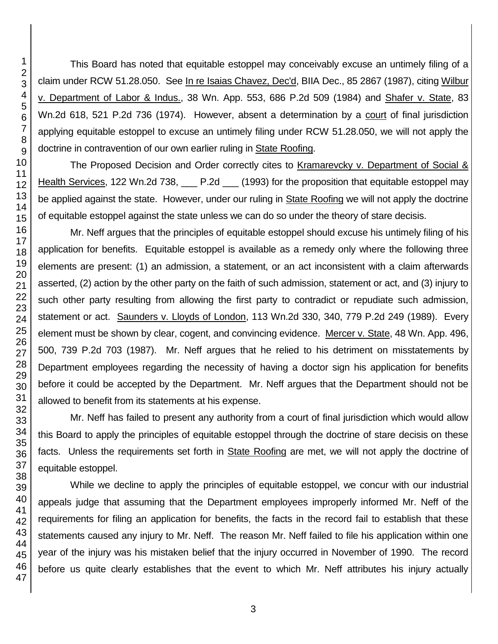This Board has noted that equitable estoppel may conceivably excuse an untimely filing of a claim under RCW 51.28.050. See In re Isaias Chavez, Dec'd, BIIA Dec., 85 2867 (1987), citing Wilbur v. Department of Labor & Indus., 38 Wn. App. 553, 686 P.2d 509 (1984) and Shafer v. State, 83 Wn.2d 618, 521 P.2d 736 (1974). However, absent a determination by a court of final jurisdiction applying equitable estoppel to excuse an untimely filing under RCW 51.28.050, we will not apply the doctrine in contravention of our own earlier ruling in State Roofing.

The Proposed Decision and Order correctly cites to Kramarevcky v. Department of Social & Health Services, 122 Wn.2d 738, 12.2d 19.2d [1993] for the proposition that equitable estoppel may be applied against the state. However, under our ruling in State Roofing we will not apply the doctrine of equitable estoppel against the state unless we can do so under the theory of stare decisis.

Mr. Neff argues that the principles of equitable estoppel should excuse his untimely filing of his application for benefits. Equitable estoppel is available as a remedy only where the following three elements are present: (1) an admission, a statement, or an act inconsistent with a claim afterwards asserted, (2) action by the other party on the faith of such admission, statement or act, and (3) injury to such other party resulting from allowing the first party to contradict or repudiate such admission, statement or act. Saunders v. Lloyds of London, 113 Wn.2d 330, 340, 779 P.2d 249 (1989). Every element must be shown by clear, cogent, and convincing evidence. Mercer v. State, 48 Wn. App. 496, 500, 739 P.2d 703 (1987). Mr. Neff argues that he relied to his detriment on misstatements by Department employees regarding the necessity of having a doctor sign his application for benefits before it could be accepted by the Department. Mr. Neff argues that the Department should not be allowed to benefit from its statements at his expense.

Mr. Neff has failed to present any authority from a court of final jurisdiction which would allow this Board to apply the principles of equitable estoppel through the doctrine of stare decisis on these facts. Unless the requirements set forth in State Roofing are met, we will not apply the doctrine of equitable estoppel.

While we decline to apply the principles of equitable estoppel, we concur with our industrial appeals judge that assuming that the Department employees improperly informed Mr. Neff of the requirements for filing an application for benefits, the facts in the record fail to establish that these statements caused any injury to Mr. Neff. The reason Mr. Neff failed to file his application within one year of the injury was his mistaken belief that the injury occurred in November of 1990. The record before us quite clearly establishes that the event to which Mr. Neff attributes his injury actually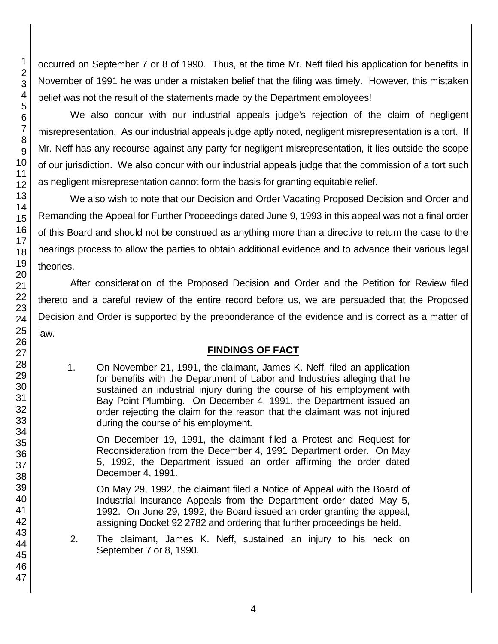occurred on September 7 or 8 of 1990. Thus, at the time Mr. Neff filed his application for benefits in November of 1991 he was under a mistaken belief that the filing was timely. However, this mistaken belief was not the result of the statements made by the Department employees!

We also concur with our industrial appeals judge's rejection of the claim of negligent misrepresentation. As our industrial appeals judge aptly noted, negligent misrepresentation is a tort. If Mr. Neff has any recourse against any party for negligent misrepresentation, it lies outside the scope of our jurisdiction. We also concur with our industrial appeals judge that the commission of a tort such as negligent misrepresentation cannot form the basis for granting equitable relief.

We also wish to note that our Decision and Order Vacating Proposed Decision and Order and Remanding the Appeal for Further Proceedings dated June 9, 1993 in this appeal was not a final order of this Board and should not be construed as anything more than a directive to return the case to the hearings process to allow the parties to obtain additional evidence and to advance their various legal theories.

After consideration of the Proposed Decision and Order and the Petition for Review filed thereto and a careful review of the entire record before us, we are persuaded that the Proposed Decision and Order is supported by the preponderance of the evidence and is correct as a matter of law.

# **FINDINGS OF FACT**

1. On November 21, 1991, the claimant, James K. Neff, filed an application for benefits with the Department of Labor and Industries alleging that he sustained an industrial injury during the course of his employment with Bay Point Plumbing. On December 4, 1991, the Department issued an order rejecting the claim for the reason that the claimant was not injured during the course of his employment.

On December 19, 1991, the claimant filed a Protest and Request for Reconsideration from the December 4, 1991 Department order. On May 5, 1992, the Department issued an order affirming the order dated December 4, 1991.

On May 29, 1992, the claimant filed a Notice of Appeal with the Board of Industrial Insurance Appeals from the Department order dated May 5, 1992. On June 29, 1992, the Board issued an order granting the appeal, assigning Docket 92 2782 and ordering that further proceedings be held.

2. The claimant, James K. Neff, sustained an injury to his neck on September 7 or 8, 1990.